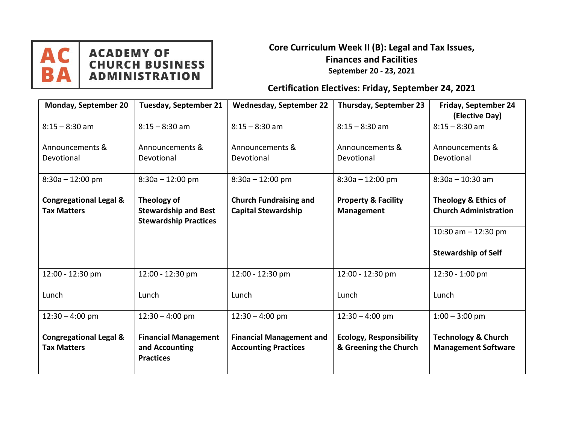

# **ACADEMY OF<br>CHURCH BUSINESS<br>ADMINISTRATION**

#### **Core Curriculum Week II (B): Legal and Tax Issues, Finances and Facilities September 20 - 23, 2021**

## **Certification Electives: Friday, September 24, 2021**

| <b>Monday, September 20</b>                             | <b>Tuesday, September 21</b>                                               | <b>Wednesday, September 22</b>                                 | Thursday, September 23                                  | Friday, September 24<br>(Elective Day)                          |
|---------------------------------------------------------|----------------------------------------------------------------------------|----------------------------------------------------------------|---------------------------------------------------------|-----------------------------------------------------------------|
| $8:15 - 8:30$ am                                        | $8:15 - 8:30$ am                                                           | $8:15 - 8:30$ am                                               | $8:15 - 8:30$ am                                        | $8:15 - 8:30$ am                                                |
| Announcements &<br>Devotional                           | Announcements &<br>Devotional                                              | Announcements &<br>Devotional                                  | Announcements &<br>Devotional                           | Announcements &<br>Devotional                                   |
| $8:30a - 12:00$ pm                                      | $8:30a - 12:00$ pm                                                         | $8:30a - 12:00$ pm                                             | $8:30a - 12:00$ pm                                      | $8:30a - 10:30 am$                                              |
| <b>Congregational Legal &amp;</b><br><b>Tax Matters</b> | Theology of<br><b>Stewardship and Best</b><br><b>Stewardship Practices</b> | <b>Church Fundraising and</b><br><b>Capital Stewardship</b>    | <b>Property &amp; Facility</b><br><b>Management</b>     | <b>Theology &amp; Ethics of</b><br><b>Church Administration</b> |
|                                                         |                                                                            |                                                                |                                                         | 10:30 am $-$ 12:30 pm                                           |
|                                                         |                                                                            |                                                                |                                                         | <b>Stewardship of Self</b>                                      |
| 12:00 - 12:30 pm                                        | 12:00 - 12:30 pm                                                           | 12:00 - 12:30 pm                                               | 12:00 - 12:30 pm                                        | 12:30 - 1:00 pm                                                 |
| Lunch                                                   | Lunch                                                                      | Lunch                                                          | Lunch                                                   | Lunch                                                           |
| $12:30 - 4:00$ pm                                       | $12:30 - 4:00$ pm                                                          | $12:30 - 4:00$ pm                                              | $12:30 - 4:00$ pm                                       | $1:00 - 3:00$ pm                                                |
| <b>Congregational Legal &amp;</b><br><b>Tax Matters</b> | <b>Financial Management</b><br>and Accounting<br><b>Practices</b>          | <b>Financial Management and</b><br><b>Accounting Practices</b> | <b>Ecology, Responsibility</b><br>& Greening the Church | <b>Technology &amp; Church</b><br><b>Management Software</b>    |